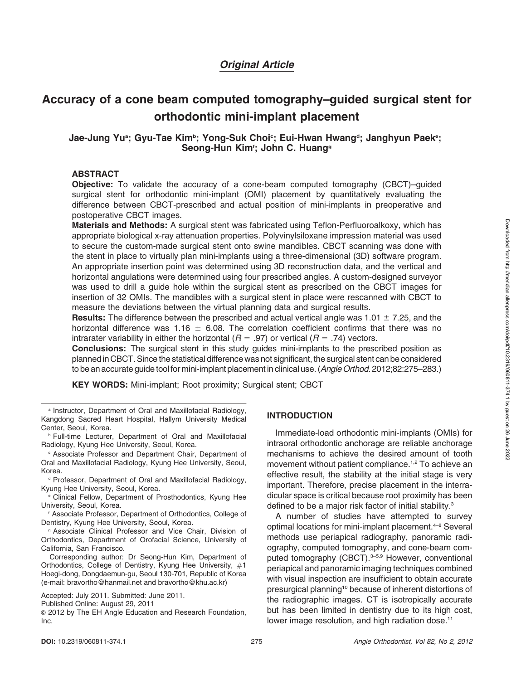# Original Article

# Accuracy of a cone beam computed tomography–guided surgical stent for orthodontic mini-implant placement

# Jae-Jung Yuª; Gyu-Tae Kim<sup>ь</sup>; Yong-Suk Choi<sup>շ</sup>; Eui-Hwan Hwangª; Janghyun Paekª; Seong-Hun Kim'; John C. Huangª

### ABSTRACT

Objective: To validate the accuracy of a cone-beam computed tomography (CBCT)–guided surgical stent for orthodontic mini-implant (OMI) placement by quantitatively evaluating the difference between CBCT-prescribed and actual position of mini-implants in preoperative and postoperative CBCT images.

Materials and Methods: A surgical stent was fabricated using Teflon-Perfluoroalkoxy, which has appropriate biological x-ray attenuation properties. Polyvinylsiloxane impression material was used to secure the custom-made surgical stent onto swine mandibles. CBCT scanning was done with the stent in place to virtually plan mini-implants using a three-dimensional (3D) software program. An appropriate insertion point was determined using 3D reconstruction data, and the vertical and horizontal angulations were determined using four prescribed angles. A custom-designed surveyor was used to drill a guide hole within the surgical stent as prescribed on the CBCT images for insertion of 32 OMIs. The mandibles with a surgical stent in place were rescanned with CBCT to measure the deviations between the virtual planning data and surgical results.

**Results:** The difference between the prescribed and actual vertical angle was 1.01  $\pm$  7.25, and the horizontal difference was 1.16  $\pm$  6.08. The correlation coefficient confirms that there was no intrarater variability in either the horizontal ( $R = .97$ ) or vertical ( $R = .74$ ) vectors.

Conclusions: The surgical stent in this study guides mini-implants to the prescribed position as planned in CBCT. Since the statistical differencewas not significant, the surgical stent can be considered to be an accurate guide tool for mini-implant placement in clinical use. (Angle Orthod. 2012;82:275–283.)

KEY WORDS: Mini-implant; Root proximity; Surgical stent; CBCT

<sup>d</sup> Professor, Department of Oral and Maxillofacial Radiology, Kyung Hee University, Seoul, Korea.

<sup>e</sup> Clinical Fellow, Department of Prosthodontics, Kyung Hee University, Seoul, Korea.

<sup>f</sup> Associate Professor, Department of Orthodontics, College of Dentistry, Kyung Hee University, Seoul, Korea.

<sup>9</sup> Associate Clinical Professor and Vice Chair, Division of Orthodontics, Department of Orofacial Science, University of California, San Francisco.

Corresponding author: Dr Seong-Hun Kim, Department of Orthodontics, College of Dentistry, Kyung Hee University, #1 Hoegi-dong, Dongdaemun-gu, Seoul 130-701, Republic of Korea (e-mail: bravortho@hanmail.net and bravortho@khu.ac.kr)

Accepted: July 2011. Submitted: June 2011.

Published Online: August 29, 2011

<sup>G</sup> 2012 by The EH Angle Education and Research Foundation, Inc.

# INTRODUCTION

Immediate-load orthodontic mini-implants (OMIs) for intraoral orthodontic anchorage are reliable anchorage mechanisms to achieve the desired amount of tooth movement without patient compliance.1,2 To achieve an effective result, the stability at the initial stage is very important. Therefore, precise placement in the interradicular space is critical because root proximity has been defined to be a major risk factor of initial stability.<sup>3</sup>

A number of studies have attempted to survey optimal locations for mini-implant placement.4–8 Several methods use periapical radiography, panoramic radiography, computed tomography, and cone-beam computed tomography (CBCT).<sup>3–5,9</sup> However, conventional periapical and panoramic imaging techniques combined with visual inspection are insufficient to obtain accurate presurgical planning<sup>10</sup> because of inherent distortions of the radiographic images. CT is isotropically accurate but has been limited in dentistry due to its high cost, lower image resolution, and high radiation dose.<sup>11</sup>

<sup>a</sup> Instructor, Department of Oral and Maxillofacial Radiology, Kangdong Sacred Heart Hospital, Hallym University Medical Center, Seoul, Korea.

<sup>b</sup> Full-time Lecturer, Department of Oral and Maxillofacial Radiology, Kyung Hee University, Seoul, Korea.

<sup>c</sup> Associate Professor and Department Chair, Department of Oral and Maxillofacial Radiology, Kyung Hee University, Seoul, Korea.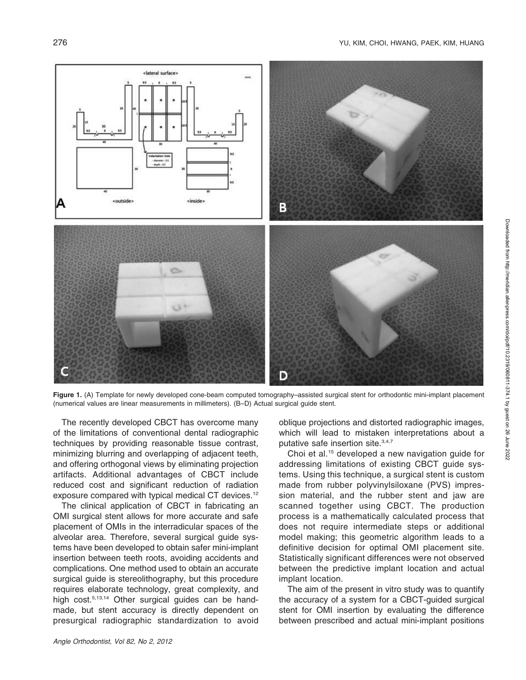

Figure 1. (A) Template for newly developed cone-beam computed tomography–assisted surgical stent for orthodontic mini-implant placement (numerical values are linear measurements in millimeters). (B–D) Actual surgical guide stent.

The recently developed CBCT has overcome many of the limitations of conventional dental radiographic techniques by providing reasonable tissue contrast, minimizing blurring and overlapping of adjacent teeth, and offering orthogonal views by eliminating projection artifacts. Additional advantages of CBCT include reduced cost and significant reduction of radiation exposure compared with typical medical CT devices.<sup>12</sup>

The clinical application of CBCT in fabricating an OMI surgical stent allows for more accurate and safe placement of OMIs in the interradicular spaces of the alveolar area. Therefore, several surgical guide systems have been developed to obtain safer mini-implant insertion between teeth roots, avoiding accidents and complications. One method used to obtain an accurate surgical guide is stereolithography, but this procedure requires elaborate technology, great complexity, and high cost.<sup>5,13,14</sup> Other surgical guides can be handmade, but stent accuracy is directly dependent on presurgical radiographic standardization to avoid oblique projections and distorted radiographic images, which will lead to mistaken interpretations about a putative safe insertion site.<sup>3,4,7</sup>

Downloaded from http://meridian.allenpress.com/doi/pdf/10.2319/060811-374.1 by guest on 26 June 2022

Downloaded from http://meridian.allenpress.com/doi/pdf/10.2319/060811-374.1 by guest on 26 June 2022

Choi et al.15 developed a new navigation guide for addressing limitations of existing CBCT guide systems. Using this technique, a surgical stent is custom made from rubber polyvinylsiloxane (PVS) impression material, and the rubber stent and jaw are scanned together using CBCT. The production process is a mathematically calculated process that does not require intermediate steps or additional model making; this geometric algorithm leads to a definitive decision for optimal OMI placement site. Statistically significant differences were not observed between the predictive implant location and actual implant location.

The aim of the present in vitro study was to quantify the accuracy of a system for a CBCT-guided surgical stent for OMI insertion by evaluating the difference between prescribed and actual mini-implant positions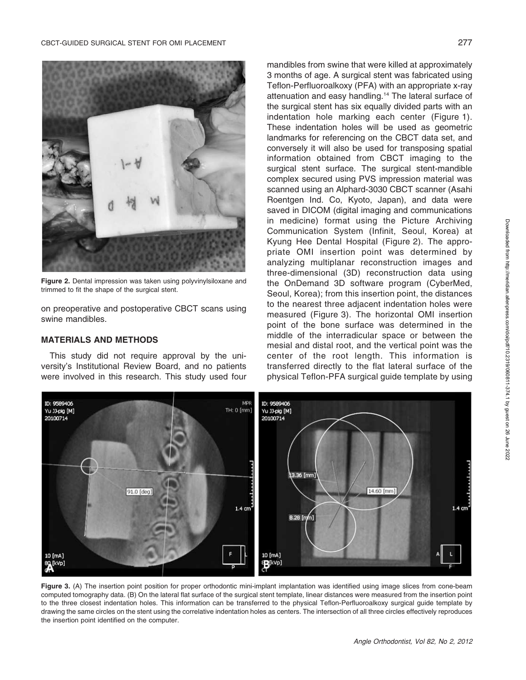

Figure 2. Dental impression was taken using polyvinylsiloxane and trimmed to fit the shape of the surgical stent.

on preoperative and postoperative CBCT scans using swine mandibles.

### MATERIALS AND METHODS

This study did not require approval by the university's Institutional Review Board, and no patients were involved in this research. This study used four mandibles from swine that were killed at approximately 3 months of age. A surgical stent was fabricated using Teflon-Perfluoroalkoxy (PFA) with an appropriate x-ray attenuation and easy handling.14 The lateral surface of the surgical stent has six equally divided parts with an indentation hole marking each center (Figure 1). These indentation holes will be used as geometric landmarks for referencing on the CBCT data set, and conversely it will also be used for transposing spatial information obtained from CBCT imaging to the surgical stent surface. The surgical stent-mandible complex secured using PVS impression material was scanned using an Alphard-3030 CBCT scanner (Asahi Roentgen Ind. Co, Kyoto, Japan), and data were saved in DICOM (digital imaging and communications in medicine) format using the Picture Archiving Communication System (Infinit, Seoul, Korea) at Kyung Hee Dental Hospital (Figure 2). The appropriate OMI insertion point was determined by analyzing multiplanar reconstruction images and three-dimensional (3D) reconstruction data using the OnDemand 3D software program (CyberMed, Seoul, Korea); from this insertion point, the distances to the nearest three adjacent indentation holes were measured (Figure 3). The horizontal OMI insertion point of the bone surface was determined in the middle of the interradicular space or between the mesial and distal root, and the vertical point was the center of the root length. This information is transferred directly to the flat lateral surface of the physical Teflon-PFA surgical guide template by using



Figure 3. (A) The insertion point position for proper orthodontic mini-implant implantation was identified using image slices from cone-beam computed tomography data. (B) On the lateral flat surface of the surgical stent template, linear distances were measured from the insertion point to the three closest indentation holes. This information can be transferred to the physical Teflon-Perfluoroalkoxy surgical guide template by drawing the same circles on the stent using the correlative indentation holes as centers. The intersection of all three circles effectively reproduces the insertion point identified on the computer.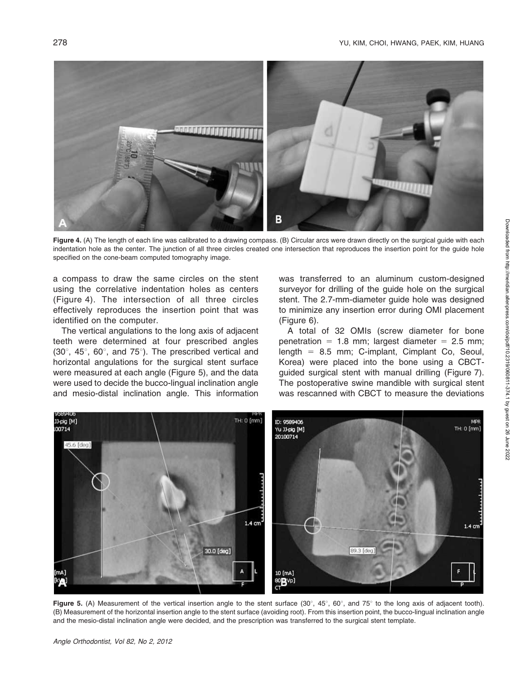

Figure 4. (A) The length of each line was calibrated to a drawing compass. (B) Circular arcs were drawn directly on the surgical guide with each indentation hole as the center. The junction of all three circles created one intersection that reproduces the insertion point for the guide hole specified on the cone-beam computed tomography image.

a compass to draw the same circles on the stent using the correlative indentation holes as centers (Figure 4). The intersection of all three circles effectively reproduces the insertion point that was identified on the computer.

The vertical angulations to the long axis of adjacent teeth were determined at four prescribed angles  $(30^{\circ}, 45^{\circ}, 60^{\circ},$  and  $75^{\circ})$ . The prescribed vertical and horizontal angulations for the surgical stent surface were measured at each angle (Figure 5), and the data were used to decide the bucco-lingual inclination angle and mesio-distal inclination angle. This information was transferred to an aluminum custom-designed surveyor for drilling of the guide hole on the surgical stent. The 2.7-mm-diameter guide hole was designed to minimize any insertion error during OMI placement (Figure 6).

A total of 32 OMIs (screw diameter for bone penetration =  $1.8$  mm; largest diameter =  $2.5$  mm; length  $= 8.5$  mm; C-implant, Cimplant Co, Seoul, Korea) were placed into the bone using a CBCTguided surgical stent with manual drilling (Figure 7). The postoperative swine mandible with surgical stent was rescanned with CBCT to measure the deviations



Figure 5. (A) Measurement of the vertical insertion angle to the stent surface (30°, 45°, 60°, and 75° to the long axis of adjacent tooth). (B) Measurement of the horizontal insertion angle to the stent surface (avoiding root). From this insertion point, the bucco-lingual inclination angle and the mesio-distal inclination angle were decided, and the prescription was transferred to the surgical stent template.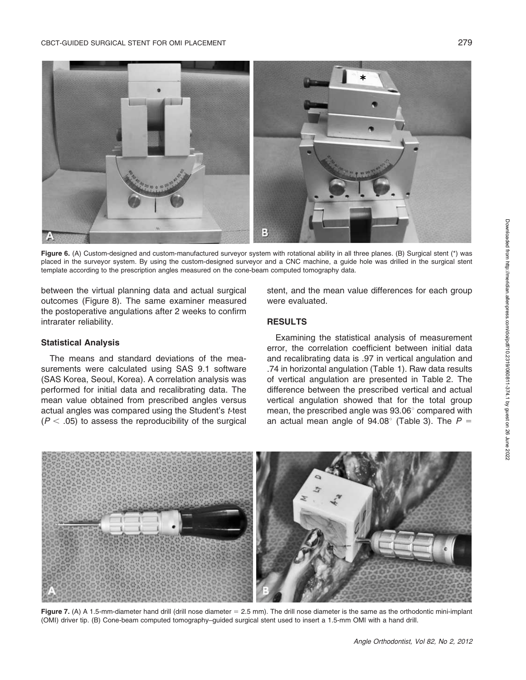

Figure 6. (A) Custom-designed and custom-manufactured surveyor system with rotational ability in all three planes. (B) Surgical stent (\*) was placed in the surveyor system. By using the custom-designed surveyor and a CNC machine, a guide hole was drilled in the surgical stent template according to the prescription angles measured on the cone-beam computed tomography data.

between the virtual planning data and actual surgical outcomes (Figure 8). The same examiner measured the postoperative angulations after 2 weeks to confirm intrarater reliability.

stent, and the mean value differences for each group were evaluated.

# Statistical Analysis

The means and standard deviations of the measurements were calculated using SAS 9.1 software (SAS Korea, Seoul, Korea). A correlation analysis was performed for initial data and recalibrating data. The mean value obtained from prescribed angles versus actual angles was compared using the Student's t-test  $(P < .05)$  to assess the reproducibility of the surgical

### RESULTS

Examining the statistical analysis of measurement error, the correlation coefficient between initial data and recalibrating data is .97 in vertical angulation and .74 in horizontal angulation (Table 1). Raw data results of vertical angulation are presented in Table 2. The difference between the prescribed vertical and actual vertical angulation showed that for the total group mean, the prescribed angle was  $93.06^{\circ}$  compared with an actual mean angle of 94.08 $^{\circ}$  (Table 3). The  $P =$ 



Figure 7. (A) A 1.5-mm-diameter hand drill (drill nose diameter  $= 2.5$  mm). The drill nose diameter is the same as the orthodontic mini-implant (OMI) driver tip. (B) Cone-beam computed tomography–guided surgical stent used to insert a 1.5-mm OMI with a hand drill.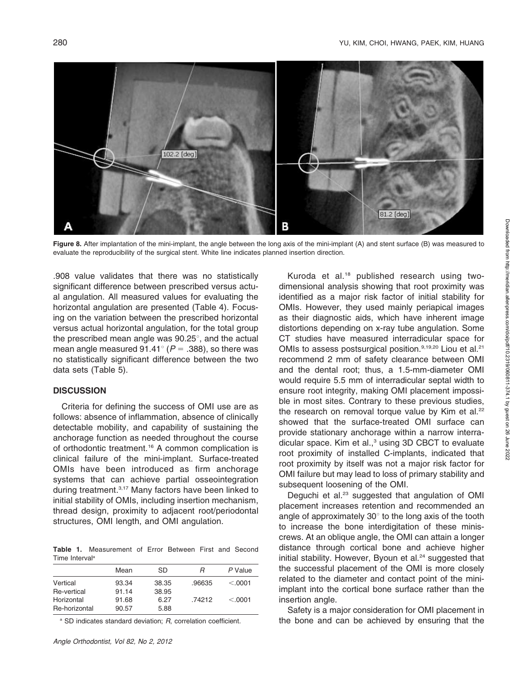

Figure 8. After implantation of the mini-implant, the angle between the long axis of the mini-implant (A) and stent surface (B) was measured to evaluate the reproducibility of the surgical stent. White line indicates planned insertion direction.

.908 value validates that there was no statistically significant difference between prescribed versus actual angulation. All measured values for evaluating the horizontal angulation are presented (Table 4). Focusing on the variation between the prescribed horizontal versus actual horizontal angulation, for the total group the prescribed mean angle was  $90.25^{\circ}$ , and the actual mean angle measured 91.41 $\degree$  (P = .388), so there was no statistically significant difference between the two data sets (Table 5).

#### **DISCUSSION**

Criteria for defining the success of OMI use are as follows: absence of inflammation, absence of clinically detectable mobility, and capability of sustaining the anchorage function as needed throughout the course of orthodontic treatment.16 A common complication is clinical failure of the mini-implant. Surface-treated OMIs have been introduced as firm anchorage systems that can achieve partial osseointegration during treatment.3,17 Many factors have been linked to initial stability of OMIs, including insertion mechanism, thread design, proximity to adjacent root/periodontal structures, OMI length, and OMI angulation.

Table 1. Measurement of Error Between First and Second Time Interval<sup>®</sup>

|               | Mean  | SD    | R      | P Value  |
|---------------|-------|-------|--------|----------|
| Vertical      | 93.34 | 38.35 | .96635 | < 0.0001 |
| Re-vertical   | 91.14 | 38.95 |        |          |
| Horizontal    | 91.68 | 6.27  | .74212 | < 0.0001 |
| Re-horizontal | 90.57 | 5.88  |        |          |

<sup>a</sup> SD indicates standard deviation; R, correlation coefficient.

Kuroda et al.18 published research using twodimensional analysis showing that root proximity was identified as a major risk factor of initial stability for OMIs. However, they used mainly periapical images as their diagnostic aids, which have inherent image distortions depending on x-ray tube angulation. Some CT studies have measured interradicular space for OMIs to assess postsurgical position.<sup>9,19,20</sup> Liou et al.<sup>21</sup> recommend 2 mm of safety clearance between OMI and the dental root; thus, a 1.5-mm-diameter OMI would require 5.5 mm of interradicular septal width to ensure root integrity, making OMI placement impossible in most sites. Contrary to these previous studies, the research on removal torque value by Kim et al.<sup>22</sup> showed that the surface-treated OMI surface can provide stationary anchorage within a narrow interradicular space. Kim et al.,<sup>3</sup> using 3D CBCT to evaluate root proximity of installed C-implants, indicated that root proximity by itself was not a major risk factor for OMI failure but may lead to loss of primary stability and subsequent loosening of the OMI.

Deguchi et al.<sup>23</sup> suggested that angulation of OMI placement increases retention and recommended an angle of approximately  $30^\circ$  to the long axis of the tooth to increase the bone interdigitation of these miniscrews. At an oblique angle, the OMI can attain a longer distance through cortical bone and achieve higher initial stability. However, Byoun et al.<sup>24</sup> suggested that the successful placement of the OMI is more closely related to the diameter and contact point of the miniimplant into the cortical bone surface rather than the insertion angle.

Safety is a major consideration for OMI placement in the bone and can be achieved by ensuring that the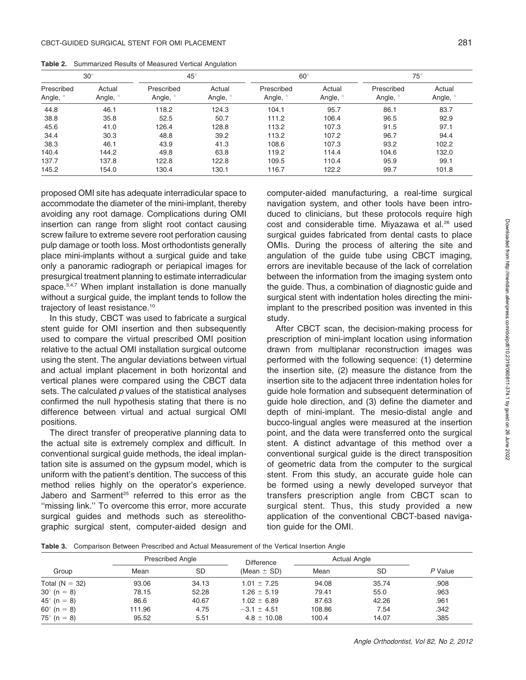| $30^\circ$                        |                               | $45^\circ$                        |                               | $60^\circ$                        |                               | $75^\circ$                        |                               |
|-----------------------------------|-------------------------------|-----------------------------------|-------------------------------|-----------------------------------|-------------------------------|-----------------------------------|-------------------------------|
| Prescribed<br>Angle, <sup>o</sup> | Actual<br>Angle, <sup>o</sup> | Prescribed<br>Angle, <sup>o</sup> | Actual<br>Angle, <sup>o</sup> | Prescribed<br>Angle, <sup>o</sup> | Actual<br>Angle, <sup>o</sup> | Prescribed<br>Angle, <sup>o</sup> | Actual<br>Angle, <sup>o</sup> |
| 44.8                              | 46.1                          | 118.2                             | 124.3                         | 104.1                             | 95.7                          | 86.1                              | 83.7                          |
| 38.8                              | 35.8                          | 52.5                              | 50.7                          | 111.2                             | 106.4                         | 96.5                              | 92.9                          |
| 45.6                              | 41.0                          | 126.4                             | 128.8                         | 113.2                             | 107.3                         | 91.5                              | 97.1                          |
| 34.4                              | 30.3                          | 48.8                              | 39.2                          | 113.2                             | 107.2                         | 96.7                              | 94.4                          |
| 38.3                              | 46.1                          | 43.9                              | 41.3                          | 108.6                             | 107.3                         | 93.2                              | 102.2                         |
| 140.4                             | 144.2                         | 49.8                              | 63.8                          | 119.2                             | 114.4                         | 104.6                             | 132.0                         |
| 137.7                             | 137.8                         | 122.8                             | 122.8                         | 109.5                             | 110.4                         | 95.9                              | 99.1                          |
| 145.2                             | 154.0                         | 130.4                             | 130.1                         | 116.7                             | 122.2                         | 99.7                              | 101.8                         |

Table 2. Summarized Results of Measured Vertical Angulation

proposed OMI site has adequate interradicular space to accommodate the diameter of the mini-implant, thereby avoiding any root damage. Complications during OMI insertion can range from slight root contact causing screw failure to extreme severe root perforation causing pulp damage or tooth loss. Most orthodontists generally place mini-implants without a surgical guide and take only a panoramic radiograph or periapical images for presurgical treatment planning to estimate interradicular space.<sup>3,4,7</sup> When implant installation is done manually without a surgical guide, the implant tends to follow the trajectory of least resistance.10

In this study, CBCT was used to fabricate a surgical stent guide for OMI insertion and then subsequently used to compare the virtual prescribed OMI position relative to the actual OMI installation surgical outcome using the stent. The angular deviations between virtual and actual implant placement in both horizontal and vertical planes were compared using the CBCT data sets. The calculated  $p$  values of the statistical analyses confirmed the null hypothesis stating that there is no difference between virtual and actual surgical OMI positions.

The direct transfer of preoperative planning data to the actual site is extremely complex and difficult. In conventional surgical guide methods, the ideal implantation site is assumed on the gypsum model, which is uniform with the patient's dentition. The success of this method relies highly on the operator's experience. Jabero and Sarment<sup>25</sup> referred to this error as the "missing link." To overcome this error, more accurate surgical guides and methods such as stereolithographic surgical stent, computer-aided design and computer-aided manufacturing, a real-time surgical navigation system, and other tools have been introduced to clinicians, but these protocols require high cost and considerable time. Miyazawa et al.<sup>26</sup> used surgical guides fabricated from dental casts to place OMIs. During the process of altering the site and angulation of the guide tube using CBCT imaging, errors are inevitable because of the lack of correlation between the information from the imaging system onto the guide. Thus, a combination of diagnostic guide and surgical stent with indentation holes directing the miniimplant to the prescribed position was invented in this study.

After CBCT scan, the decision-making process for prescription of mini-implant location using information drawn from multiplanar reconstruction images was performed with the following sequence: (1) determine the insertion site, (2) measure the distance from the insertion site to the adjacent three indentation holes for guide hole formation and subsequent determination of guide hole direction, and (3) define the diameter and depth of mini-implant. The mesio-distal angle and bucco-lingual angles were measured at the insertion point, and the data were transferred onto the surgical stent. A distinct advantage of this method over a conventional surgical guide is the direct transposition of geometric data from the computer to the surgical stent. From this study, an accurate guide hole can be formed using a newly developed surveyor that transfers prescription angle from CBCT scan to surgical stent. Thus, this study provided a new application of the conventional CBCT-based navigation guide for the OMI.

Table 3. Comparison Between Prescribed and Actual Measurement of the Vertical Insertion Angle

|                      |        | <b>Prescribed Angle</b> |                 | <b>Actual Angle</b> |           |         |
|----------------------|--------|-------------------------|-----------------|---------------------|-----------|---------|
| Group                | Mean   | SD                      | (Mean $\pm$ SD) | Mean                | <b>SD</b> | P Value |
| Total ( $N = 32$ )   | 93.06  | 34.13                   | $1.01 \pm 7.25$ | 94.08               | 35.74     | .908    |
| $30^{\circ}$ (n = 8) | 78.15  | 52.28                   | $1.26 \pm 5.19$ | 79.41               | 55.0      | .963    |
| $45^{\circ}$ (n = 8) | 86.6   | 40.67                   | $1.02 \pm 6.89$ | 87.63               | 42.26     | .961    |
| $60^{\circ}$ (n = 8) | 111.96 | 4.75                    | $-3.1 \pm 4.51$ | 108.86              | 7.54      | .342    |
| $75^{\circ}$ (n = 8) | 95.52  | 5.51                    | $4.8 \pm 10.08$ | 100.4               | 14.07     | .385    |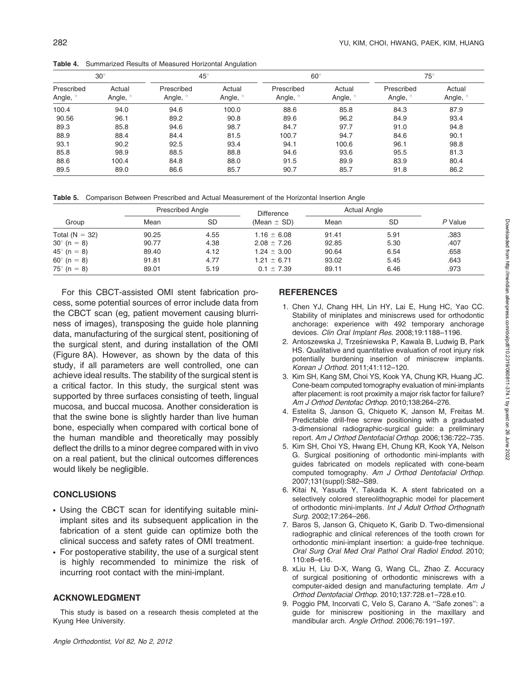| $30^\circ$                        |                               | $45^\circ$                        |                  | $60^\circ$                        |                               | $75^\circ$                        |                               |
|-----------------------------------|-------------------------------|-----------------------------------|------------------|-----------------------------------|-------------------------------|-----------------------------------|-------------------------------|
| Prescribed<br>Angle, <sup>o</sup> | Actual<br>Angle, <sup>o</sup> | Prescribed<br>Angle, <sup>o</sup> | Actual<br>Angle, | Prescribed<br>Angle, <sup>o</sup> | Actual<br>Angle, <sup>o</sup> | Prescribed<br>Angle, <sup>o</sup> | Actual<br>Angle, <sup>o</sup> |
| 100.4                             | 94.0                          | 94.6                              | 100.0            | 88.6                              | 85.8                          | 84.3                              | 87.9                          |
| 90.56                             | 96.1                          | 89.2                              | 90.8             | 89.6                              | 96.2                          | 84.9                              | 93.4                          |
| 89.3                              | 85.8                          | 94.6                              | 98.7             | 84.7                              | 97.7                          | 91.0                              | 94.8                          |
| 88.9                              | 88.4                          | 84.4                              | 81.5             | 100.7                             | 94.7                          | 84.6                              | 90.1                          |
| 93.1                              | 90.2                          | 92.5                              | 93.4             | 94.1                              | 100.6                         | 96.1                              | 98.8                          |
| 85.8                              | 98.9                          | 88.5                              | 88.8             | 94.6                              | 93.6                          | 95.5                              | 81.3                          |
| 88.6                              | 100.4                         | 84.8                              | 88.0             | 91.5                              | 89.9                          | 83.9                              | 80.4                          |
| 89.5                              | 89.0                          | 86.6                              | 85.7             | 90.7                              | 85.7                          | 91.8                              | 86.2                          |

Table 4. Summarized Results of Measured Horizontal Angulation

|  | Table 5. Comparison Between Prescribed and Actual Measurement of the Horizontal Insertion Angle |  |  |  |  |
|--|-------------------------------------------------------------------------------------------------|--|--|--|--|
|--|-------------------------------------------------------------------------------------------------|--|--|--|--|

|                      | <b>Actual Angle</b><br><b>Prescribed Angle</b><br><b>Difference</b> |           |                 |       |           |         |
|----------------------|---------------------------------------------------------------------|-----------|-----------------|-------|-----------|---------|
| Group                | Mean                                                                | <b>SD</b> | (Mean $\pm$ SD) | Mean  | <b>SD</b> | P Value |
| Total ( $N = 32$ )   | 90.25                                                               | 4.55      | $1.16 \pm 6.08$ | 91.41 | 5.91      | .383    |
| $30^{\circ}$ (n = 8) | 90.77                                                               | 4.38      | $2.08 \pm 7.26$ | 92.85 | 5.30      | .407    |
| $45^{\circ}$ (n = 8) | 89.40                                                               | 4.12      | $1.24 \pm 3.00$ | 90.64 | 6.54      | .658    |
| $60^{\circ}$ (n = 8) | 91.81                                                               | 4.77      | $1.21 \pm 6.71$ | 93.02 | 5.45      | .643    |
| $75^{\circ}$ (n = 8) | 89.01                                                               | 5.19      | $0.1 \pm 7.39$  | 89.11 | 6.46      | .973    |

For this CBCT-assisted OMI stent fabrication process, some potential sources of error include data from the CBCT scan (eg, patient movement causing blurriness of images), transposing the guide hole planning data, manufacturing of the surgical stent, positioning of the surgical stent, and during installation of the OMI (Figure 8A). However, as shown by the data of this study, if all parameters are well controlled, one can achieve ideal results. The stability of the surgical stent is a critical factor. In this study, the surgical stent was supported by three surfaces consisting of teeth, lingual mucosa, and buccal mucosa. Another consideration is that the swine bone is slightly harder than live human bone, especially when compared with cortical bone of the human mandible and theoretically may possibly deflect the drills to a minor degree compared with in vivo on a real patient, but the clinical outcomes differences would likely be negligible.

# **CONCLUSIONS**

- Using the CBCT scan for identifying suitable miniimplant sites and its subsequent application in the fabrication of a stent guide can optimize both the clinical success and safety rates of OMI treatment.
- For postoperative stability, the use of a surgical stent is highly recommended to minimize the risk of incurring root contact with the mini-implant.

# ACKNOWLEDGMENT

This study is based on a research thesis completed at the Kyung Hee University.

### **REFERENCES**

- 1. Chen YJ, Chang HH, Lin HY, Lai E, Hung HC, Yao CC. Stability of miniplates and miniscrews used for orthodontic anchorage: experience with 492 temporary anchorage devices. Clin Oral Implant Res. 2008;19:1188–1196.
- 2. Antoszewska J, Trześniewska P, Kawala B, Ludwig B, Park HS. Qualitative and quantitative evaluation of root injury risk potentially burdening insertion of miniscrew implants. Korean J Orthod. 2011;41:112–120.
- 3. Kim SH, Kang SM, Choi YS, Kook YA, Chung KR, Huang JC. Cone-beam computed tomography evaluation of mini-implants after placement: is root proximity a major risk factor for failure? Am J Orthod Dentofac Orthop. 2010;138:264–276.
- 4. Estelita S, Janson G, Chiqueto K, Janson M, Freitas M. Predictable drill-free screw positioning with a graduated 3-dimensional radiographic-surgical guide: a preliminary report. Am J Orthod Dentofacial Orthop. 2006;136:722–735.
- 5. Kim SH, Choi YS, Hwang EH, Chung KR, Kook YA, Nelson G. Surgical positioning of orthodontic mini-implants with guides fabricated on models replicated with cone-beam computed tomography. Am J Orthod Dentofacial Orthop. 2007;131(suppl):S82–S89.
- 6. Kitai N, Yasuda Y, Takada K. A stent fabricated on a selectively colored stereolithographic model for placement of orthodontic mini-implants. Int J Adult Orthod Orthognath Surg. 2002;17:264–266.
- 7. Baros S, Janson G, Chiqueto K, Garib D. Two-dimensional radiographic and clinical references of the tooth crown for orthodontic mini-implant insertion: a guide-free technique. Oral Surg Oral Med Oral Pathol Oral Radiol Endod. 2010; 110:e8–e16.
- 8. xLiu H, Liu D-X, Wang G, Wang CL, Zhao Z. Accuracy of surgical positioning of orthodontic miniscrews with a computer-aided design and manufacturing template. Am J Orthod Dentofacial Orthop. 2010;137:728.e1–728.e10.
- 9. Poggio PM, Incorvati C, Velo S, Carano A. ''Safe zones'': a guide for miniscrew positioning in the maxillary and mandibular arch. Angle Orthod. 2006;76:191–197.